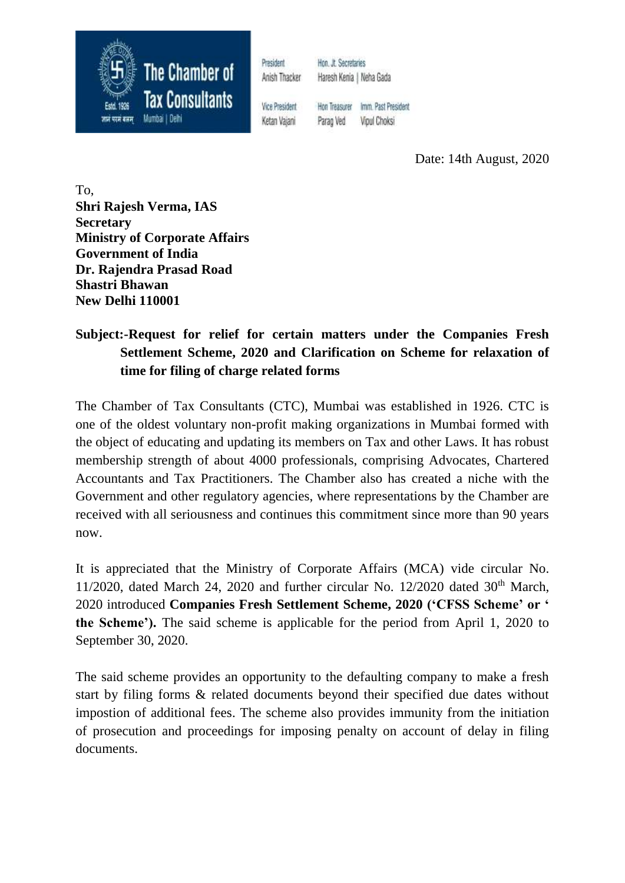

President Anish Thacker

Hon, Jt. Secretaries Haresh Kenia | Neha Gada

**Vice President** Ketan Vaiani

Hon Treasurer Imm. Past President Parao Ved Vipul Choksi

Date: 14th August, 2020

To, **Shri Rajesh Verma, IAS Secretary Ministry of Corporate Affairs Government of India Dr. Rajendra Prasad Road Shastri Bhawan New Delhi 110001**

# **Subject:-Request for relief for certain matters under the Companies Fresh Settlement Scheme, 2020 and Clarification on Scheme for relaxation of time for filing of charge related forms**

The Chamber of Tax Consultants (CTC), Mumbai was established in 1926. CTC is one of the oldest voluntary non-profit making organizations in Mumbai formed with the object of educating and updating its members on Tax and other Laws. It has robust membership strength of about 4000 professionals, comprising Advocates, Chartered Accountants and Tax Practitioners. The Chamber also has created a niche with the Government and other regulatory agencies, where representations by the Chamber are received with all seriousness and continues this commitment since more than 90 years now.

It is appreciated that the Ministry of Corporate Affairs (MCA) vide circular No. 11/2020, dated March 24, 2020 and further circular No. 12/2020 dated  $30<sup>th</sup>$  March, 2020 introduced **Companies Fresh Settlement Scheme, 2020 ('CFSS Scheme' or ' the Scheme').** The said scheme is applicable for the period from April 1, 2020 to September 30, 2020.

The said scheme provides an opportunity to the defaulting company to make a fresh start by filing forms & related documents beyond their specified due dates without impostion of additional fees. The scheme also provides immunity from the initiation of prosecution and proceedings for imposing penalty on account of delay in filing documents.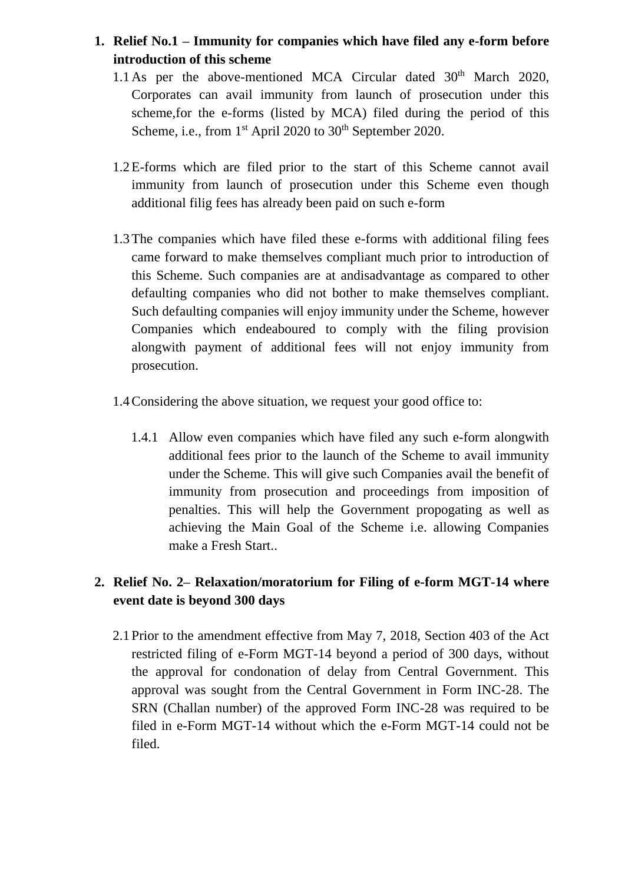# **1. Relief No.1 – Immunity for companies which have filed any e-form before introduction of this scheme**

- 1.1 As per the above-mentioned MCA Circular dated  $30<sup>th</sup>$  March 2020, Corporates can avail immunity from launch of prosecution under this scheme,for the e-forms (listed by MCA) filed during the period of this Scheme, i.e., from  $1<sup>st</sup>$  April 2020 to 30<sup>th</sup> September 2020.
- 1.2E-forms which are filed prior to the start of this Scheme cannot avail immunity from launch of prosecution under this Scheme even though additional filig fees has already been paid on such e-form
- 1.3The companies which have filed these e-forms with additional filing fees came forward to make themselves compliant much prior to introduction of this Scheme. Such companies are at andisadvantage as compared to other defaulting companies who did not bother to make themselves compliant. Such defaulting companies will enjoy immunity under the Scheme, however Companies which endeaboured to comply with the filing provision alongwith payment of additional fees will not enjoy immunity from prosecution.
- 1.4Considering the above situation, we request your good office to:
	- 1.4.1 Allow even companies which have filed any such e-form alongwith additional fees prior to the launch of the Scheme to avail immunity under the Scheme. This will give such Companies avail the benefit of immunity from prosecution and proceedings from imposition of penalties. This will help the Government propogating as well as achieving the Main Goal of the Scheme i.e. allowing Companies make a Fresh Start..

## **2. Relief No. 2– Relaxation/moratorium for Filing of e-form MGT-14 where event date is beyond 300 days**

2.1Prior to the amendment effective from May 7, 2018, Section 403 of the Act restricted filing of e-Form MGT-14 beyond a period of 300 days, without the approval for condonation of delay from Central Government. This approval was sought from the Central Government in Form INC-28. The SRN (Challan number) of the approved Form INC-28 was required to be filed in e-Form MGT-14 without which the e-Form MGT-14 could not be filed.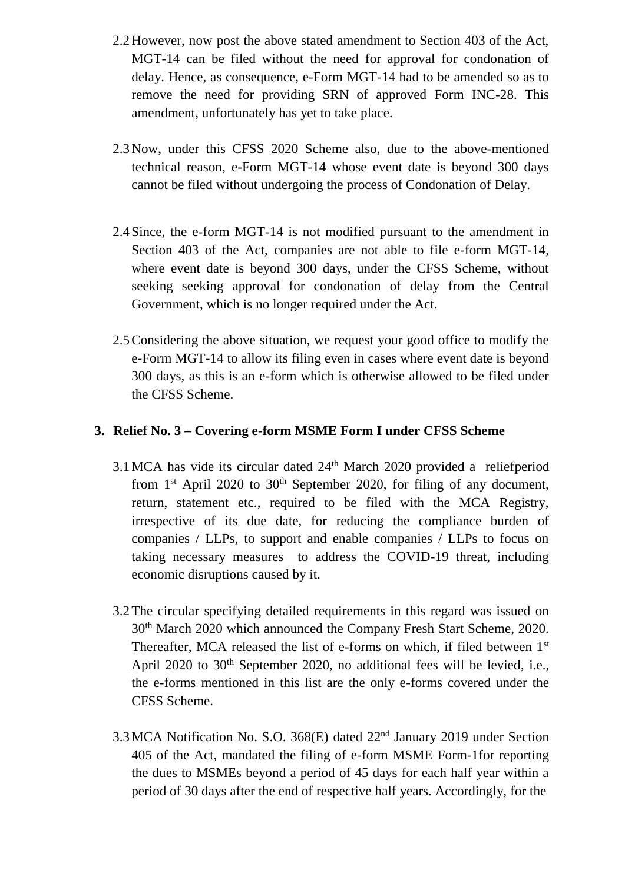- 2.2However, now post the above stated amendment to Section 403 of the Act, MGT-14 can be filed without the need for approval for condonation of delay. Hence, as consequence, e-Form MGT-14 had to be amended so as to remove the need for providing SRN of approved Form INC-28. This amendment, unfortunately has yet to take place.
- 2.3Now, under this CFSS 2020 Scheme also, due to the above-mentioned technical reason, e-Form MGT-14 whose event date is beyond 300 days cannot be filed without undergoing the process of Condonation of Delay.
- 2.4Since, the e-form MGT-14 is not modified pursuant to the amendment in Section 403 of the Act, companies are not able to file e-form MGT-14, where event date is beyond 300 days, under the CFSS Scheme, without seeking seeking approval for condonation of delay from the Central Government, which is no longer required under the Act.
- 2.5Considering the above situation, we request your good office to modify the e-Form MGT-14 to allow its filing even in cases where event date is beyond 300 days, as this is an e-form which is otherwise allowed to be filed under the CFSS Scheme.

#### **3. Relief No. 3 – Covering e-form MSME Form I under CFSS Scheme**

- 3.1MCA has vide its circular dated 24th March 2020 provided a reliefperiod from  $1<sup>st</sup>$  April 2020 to  $30<sup>th</sup>$  September 2020, for filing of any document, return, statement etc., required to be filed with the MCA Registry, irrespective of its due date, for reducing the compliance burden of companies / LLPs, to support and enable companies / LLPs to focus on taking necessary measures to address the COVID-19 threat, including economic disruptions caused by it.
- 3.2The circular specifying detailed requirements in this regard was issued on 30th March 2020 which announced the Company Fresh Start Scheme, 2020. Thereafter, MCA released the list of e-forms on which, if filed between 1<sup>st</sup> April 2020 to 30<sup>th</sup> September 2020, no additional fees will be levied, i.e., the e-forms mentioned in this list are the only e-forms covered under the CFSS Scheme.
- 3.3MCA Notification No. S.O. 368(E) dated 22nd January 2019 under Section 405 of the Act, mandated the filing of e-form MSME Form-1for reporting the dues to MSMEs beyond a period of 45 days for each half year within a period of 30 days after the end of respective half years. Accordingly, for the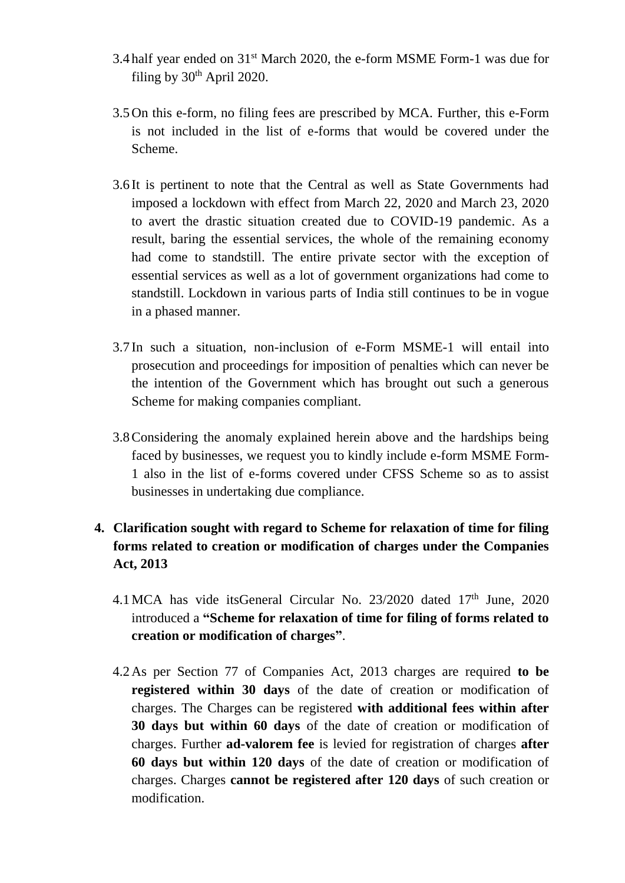- 3.4 half year ended on 31st March 2020, the e-form MSME Form-1 was due for filing by  $30<sup>th</sup>$  April 2020.
- 3.5On this e-form, no filing fees are prescribed by MCA. Further, this e-Form is not included in the list of e-forms that would be covered under the Scheme.
- 3.6 It is pertinent to note that the Central as well as State Governments had imposed a lockdown with effect from March 22, 2020 and March 23, 2020 to avert the drastic situation created due to COVID-19 pandemic. As a result, baring the essential services, the whole of the remaining economy had come to standstill. The entire private sector with the exception of essential services as well as a lot of government organizations had come to standstill. Lockdown in various parts of India still continues to be in vogue in a phased manner.
- 3.7 In such a situation, non-inclusion of e-Form MSME-1 will entail into prosecution and proceedings for imposition of penalties which can never be the intention of the Government which has brought out such a generous Scheme for making companies compliant.
- 3.8Considering the anomaly explained herein above and the hardships being faced by businesses, we request you to kindly include e-form MSME Form-1 also in the list of e-forms covered under CFSS Scheme so as to assist businesses in undertaking due compliance.

## **4. Clarification sought with regard to Scheme for relaxation of time for filing forms related to creation or modification of charges under the Companies Act, 2013**

- 4.1 MCA has vide its General Circular No.  $23/2020$  dated  $17<sup>th</sup>$  June,  $2020$ introduced a **"Scheme for relaxation of time for filing of forms related to creation or modification of charges"**.
- 4.2As per Section 77 of Companies Act, 2013 charges are required **to be registered within 30 days** of the date of creation or modification of charges. The Charges can be registered **with additional fees within after 30 days but within 60 days** of the date of creation or modification of charges. Further **ad-valorem fee** is levied for registration of charges **after 60 days but within 120 days** of the date of creation or modification of charges. Charges **cannot be registered after 120 days** of such creation or modification.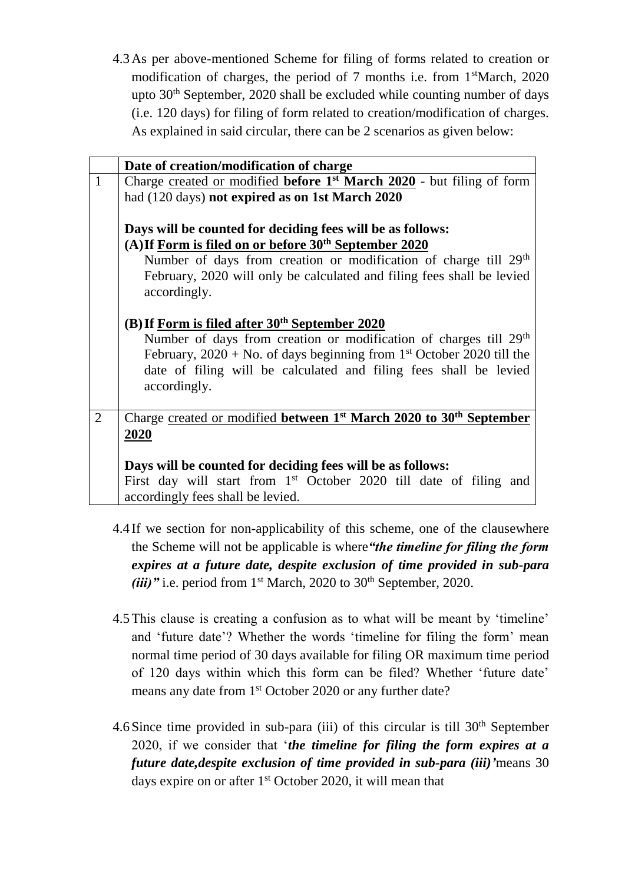4.3As per above-mentioned Scheme for filing of forms related to creation or modification of charges, the period of 7 months i.e. from 1<sup>st</sup>March, 2020 upto  $30<sup>th</sup>$  September, 2020 shall be excluded while counting number of days (i.e. 120 days) for filing of form related to creation/modification of charges. As explained in said circular, there can be 2 scenarios as given below:

|                | Date of creation/modification of charge                                                         |  |  |
|----------------|-------------------------------------------------------------------------------------------------|--|--|
| $\mathbf{1}$   | Charge created or modified <b>before 1</b> <sup>st</sup> <b>March 2020</b> - but filing of form |  |  |
|                | had (120 days) not expired as on 1st March 2020                                                 |  |  |
|                |                                                                                                 |  |  |
|                | Days will be counted for deciding fees will be as follows:                                      |  |  |
|                | (A) If Form is filed on or before 30 <sup>th</sup> September 2020                               |  |  |
|                | Number of days from creation or modification of charge till 29 <sup>th</sup>                    |  |  |
|                | February, 2020 will only be calculated and filing fees shall be levied                          |  |  |
|                | accordingly.                                                                                    |  |  |
|                |                                                                                                 |  |  |
|                | (B) If Form is filed after $30th$ September 2020                                                |  |  |
|                | Number of days from creation or modification of charges till 29 <sup>th</sup>                   |  |  |
|                | February, $2020 + No$ . of days beginning from 1 <sup>st</sup> October 2020 till the            |  |  |
|                | date of filing will be calculated and filing fees shall be levied                               |  |  |
|                | accordingly.                                                                                    |  |  |
|                |                                                                                                 |  |  |
| $\overline{2}$ | Charge created or modified between $1st$ March 2020 to 30 <sup>th</sup> September               |  |  |
|                | 2020                                                                                            |  |  |
|                |                                                                                                 |  |  |
|                | Days will be counted for deciding fees will be as follows:                                      |  |  |
|                | First day will start from 1 <sup>st</sup> October 2020 till date of filing and                  |  |  |
|                | accordingly fees shall be levied.                                                               |  |  |

- 4.4 If we section for non-applicability of this scheme, one of the clausewhere the Scheme will not be applicable is where*"the timeline for filing the form expires at a future date, despite exclusion of time provided in sub-para (iii)*" *i.e.* period from  $1<sup>st</sup> March, 2020$  to  $30<sup>th</sup> September, 2020$ .
- 4.5This clause is creating a confusion as to what will be meant by 'timeline' and 'future date'? Whether the words 'timeline for filing the form' mean normal time period of 30 days available for filing OR maximum time period of 120 days within which this form can be filed? Whether 'future date' means any date from 1<sup>st</sup> October 2020 or any further date?
- 4.6 Since time provided in sub-para (iii) of this circular is till  $30<sup>th</sup>$  September 2020, if we consider that '*the timeline for filing the form expires at a future date,despite exclusion of time provided in sub-para (iii)'*means 30 days expire on or after  $1<sup>st</sup>$  October 2020, it will mean that